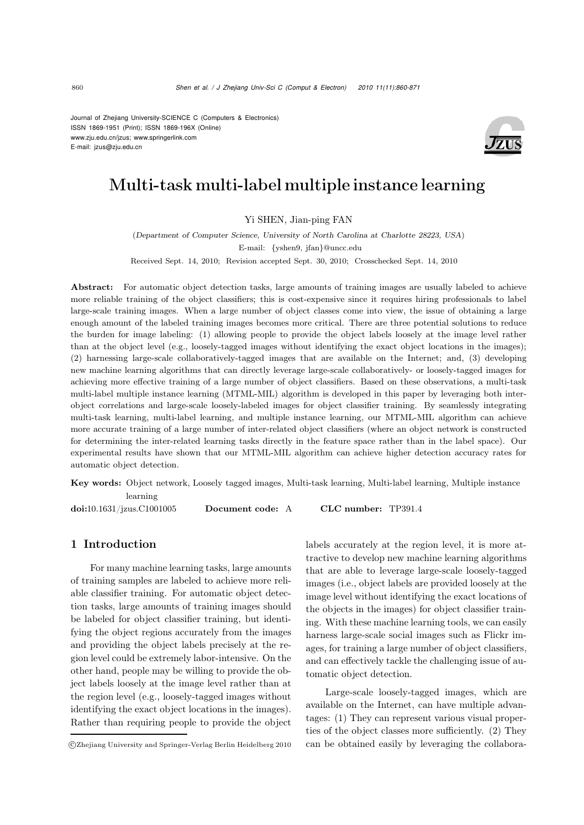Journal of Zhejiang University-SCIENCE C (Computers & Electronics) ISSN 1869-1951 (Print); ISSN 1869-196X (Online) www.zju.edu.cn/jzus; www.springerlink.com E-mail: jzus@zju.edu.cn



# Multi-task multi-label multiple instance learning

## Yi SHEN, Jian-ping FAN

(*Department of Computer Science, University of North Carolina at Charlotte 28223, USA*) E-mail: {yshen9, jfan}@uncc.edu Received Sept. 14, 2010; Revision accepted Sept. 30, 2010; Crosschecked Sept. 14, 2010

Abstract: For automatic object detection tasks, large amounts of training images are usually labeled to achieve more reliable training of the object classifiers; this is cost-expensive since it requires hiring professionals to label large-scale training images. When a large number of object classes come into view, the issue of obtaining a large enough amount of the labeled training images becomes more critical. There are three potential solutions to reduce the burden for image labeling: (1) allowing people to provide the object labels loosely at the image level rather than at the object level (e.g., loosely-tagged images without identifying the exact object locations in the images); (2) harnessing large-scale collaboratively-tagged images that are available on the Internet; and, (3) developing new machine learning algorithms that can directly leverage large-scale collaboratively- or loosely-tagged images for achieving more effective training of a large number of object classifiers. Based on these observations, a multi-task multi-label multiple instance learning (MTML-MIL) algorithm is developed in this paper by leveraging both interobject correlations and large-scale loosely-labeled images for object classifier training. By seamlessly integrating multi-task learning, multi-label learning, and multiple instance learning, our MTML-MIL algorithm can achieve more accurate training of a large number of inter-related object classifiers (where an object network is constructed for determining the inter-related learning tasks directly in the feature space rather than in the label space). Our experimental results have shown that our MTML-MIL algorithm can achieve higher detection accuracy rates for automatic object detection.

Key words: Object network, Loosely tagged images, Multi-task learning, Multi-label learning, Multiple instance learning

doi:10.1631/jzus.C1001005 Document code: A CLC number: TP391.4

# 1 Introduction

For many machine learning tasks, large amounts of training samples are labeled to achieve more reliable classifier training. For automatic object detection tasks, large amounts of training images should be labeled for object classifier training, but identifying the object regions accurately from the images and providing the object labels precisely at the region level could be extremely labor-intensive. On the other hand, people may be willing to provide the object labels loosely at the image level rather than at the region level (e.g., loosely-tagged images without identifying the exact object locations in the images). Rather than requiring people to provide the object labels accurately at the region level, it is more attractive to develop new machine learning algorithms that are able to leverage large-scale loosely-tagged images (i.e., object labels are provided loosely at the image level without identifying the exact locations of the objects in the images) for object classifier training. With these machine learning tools, we can easily harness large-scale social images such as Flickr images, for training a large number of object classifiers, and can effectively tackle the challenging issue of automatic object detection.

Large-scale loosely-tagged images, which are available on the Internet, can have multiple advantages: (1) They can represent various visual properties of the object classes more sufficiently. (2) They can be obtained easily by leveraging the collabora-

<sup>-</sup>c Zhejiang University and Springer-Verlag Berlin Heidelberg 2010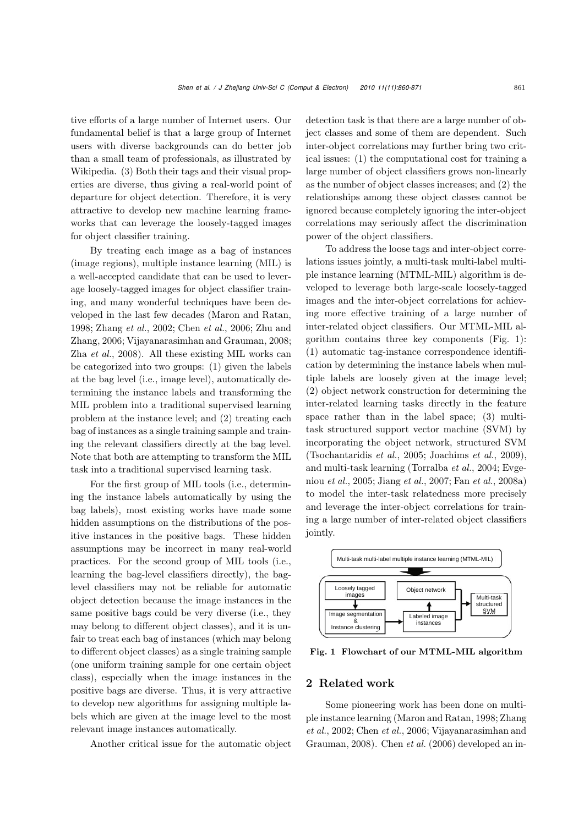tive efforts of a large number of Internet users. Our fundamental belief is that a large group of Internet users with diverse backgrounds can do better job than a small team of professionals, as illustrated by Wikipedia. (3) Both their tags and their visual properties are diverse, thus giving a real-world point of departure for object detection. Therefore, it is very attractive to develop new machine learning frameworks that can leverage the loosely-tagged images for object classifier training.

By treating each image as a bag of instances (image regions), multiple instance learning (MIL) is a well-accepted candidate that can be used to leverage loosely-tagged images for object classifier training, and many wonderful techniques have been developed in the last few decades (Maron and Ratan, 1998; Zhang *et al.*, 2002; Chen *et al.*, 2006; Zhu and Zhang, 2006; Vijayanarasimhan and Grauman, 2008; Zha *et al.*, 2008). All these existing MIL works can be categorized into two groups: (1) given the labels at the bag level (i.e., image level), automatically determining the instance labels and transforming the MIL problem into a traditional supervised learning problem at the instance level; and (2) treating each bag of instances as a single training sample and training the relevant classifiers directly at the bag level. Note that both are attempting to transform the MIL task into a traditional supervised learning task.

For the first group of MIL tools (i.e., determining the instance labels automatically by using the bag labels), most existing works have made some hidden assumptions on the distributions of the positive instances in the positive bags. These hidden assumptions may be incorrect in many real-world practices. For the second group of MIL tools (i.e., learning the bag-level classifiers directly), the baglevel classifiers may not be reliable for automatic object detection because the image instances in the same positive bags could be very diverse (i.e., they may belong to different object classes), and it is unfair to treat each bag of instances (which may belong to different object classes) as a single training sample (one uniform training sample for one certain object class), especially when the image instances in the positive bags are diverse. Thus, it is very attractive to develop new algorithms for assigning multiple labels which are given at the image level to the most relevant image instances automatically.

Another critical issue for the automatic object

detection task is that there are a large number of object classes and some of them are dependent. Such inter-object correlations may further bring two critical issues: (1) the computational cost for training a large number of object classifiers grows non-linearly as the number of object classes increases; and (2) the relationships among these object classes cannot be ignored because completely ignoring the inter-object correlations may seriously affect the discrimination power of the object classifiers.

To address the loose tags and inter-object correlations issues jointly, a multi-task multi-label multiple instance learning (MTML-MIL) algorithm is developed to leverage both large-scale loosely-tagged images and the inter-object correlations for achieving more effective training of a large number of inter-related object classifiers. Our MTML-MIL algorithm contains three key components (Fig. 1): (1) automatic tag-instance correspondence identification by determining the instance labels when multiple labels are loosely given at the image level; (2) object network construction for determining the inter-related learning tasks directly in the feature space rather than in the label space; (3) multitask structured support vector machine (SVM) by incorporating the object network, structured SVM (Tsochantaridis *et al.*, 2005; Joachims *et al.*, 2009), and multi-task learning (Torralba *et al.*, 2004; Evgeniou *et al.*, 2005; Jiang *et al.*, 2007; Fan *et al.*, 2008a) to model the inter-task relatedness more precisely and leverage the inter-object correlations for training a large number of inter-related object classifiers jointly.



Fig. 1 Flowchart of our MTML-MIL algorithm

### 2 Related work

Some pioneering work has been done on multiple instance learning (Maron and Ratan, 1998; Zhang *et al.*, 2002; Chen *et al.*, 2006; Vijayanarasimhan and Grauman, 2008). Chen *et al.* (2006) developed an in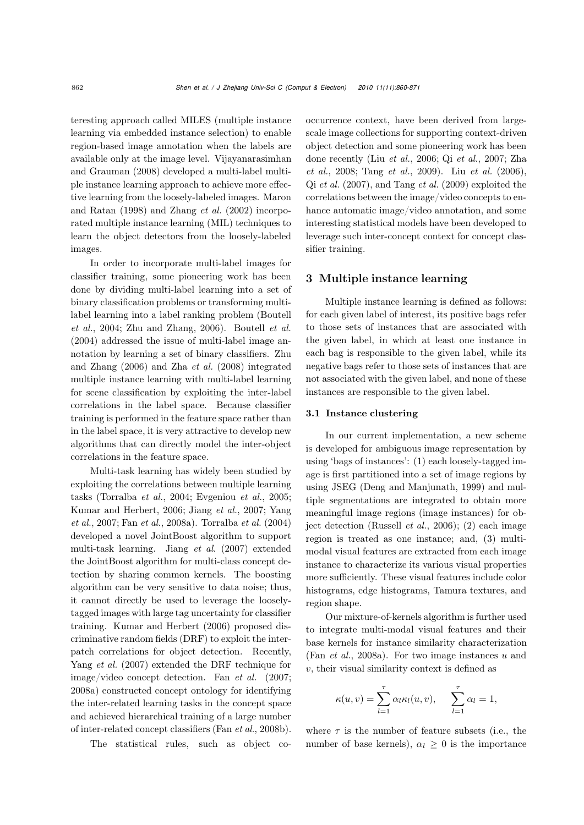teresting approach called MILES (multiple instance learning via embedded instance selection) to enable region-based image annotation when the labels are available only at the image level. Vijayanarasimhan and Grauman (2008) developed a multi-label multiple instance learning approach to achieve more effective learning from the loosely-labeled images. Maron and Ratan (1998) and Zhang *et al.* (2002) incorporated multiple instance learning (MIL) techniques to learn the object detectors from the loosely-labeled images.

In order to incorporate multi-label images for classifier training, some pioneering work has been done by dividing multi-label learning into a set of binary classification problems or transforming multilabel learning into a label ranking problem (Boutell *et al.*, 2004; Zhu and Zhang, 2006). Boutell *et al.* (2004) addressed the issue of multi-label image annotation by learning a set of binary classifiers. Zhu and Zhang (2006) and Zha *et al.* (2008) integrated multiple instance learning with multi-label learning for scene classification by exploiting the inter-label correlations in the label space. Because classifier training is performed in the feature space rather than in the label space, it is very attractive to develop new algorithms that can directly model the inter-object correlations in the feature space.

Multi-task learning has widely been studied by exploiting the correlations between multiple learning tasks (Torralba *et al.*, 2004; Evgeniou *et al.*, 2005; Kumar and Herbert, 2006; Jiang *et al.*, 2007; Yang *et al.*, 2007; Fan *et al.*, 2008a). Torralba *et al.* (2004) developed a novel JointBoost algorithm to support multi-task learning. Jiang *et al.* (2007) extended the JointBoost algorithm for multi-class concept detection by sharing common kernels. The boosting algorithm can be very sensitive to data noise; thus, it cannot directly be used to leverage the looselytagged images with large tag uncertainty for classifier training. Kumar and Herbert (2006) proposed discriminative random fields (DRF) to exploit the interpatch correlations for object detection. Recently, Yang *et al.* (2007) extended the DRF technique for image/video concept detection. Fan *et al.* (2007; 2008a) constructed concept ontology for identifying the inter-related learning tasks in the concept space and achieved hierarchical training of a large number of inter-related concept classifiers (Fan *et al*., 2008b).

The statistical rules, such as object co-

occurrence context, have been derived from largescale image collections for supporting context-driven object detection and some pioneering work has been done recently (Liu *et al.*, 2006; Qi *et al.*, 2007; Zha *et al.*, 2008; Tang *et al.*, 2009). Liu *et al.* (2006), Qi *et al.* (2007), and Tang *et al.* (2009) exploited the correlations between the image/video concepts to enhance automatic image/video annotation, and some interesting statistical models have been developed to leverage such inter-concept context for concept classifier training.

#### 3 Multiple instance learning

Multiple instance learning is defined as follows: for each given label of interest, its positive bags refer to those sets of instances that are associated with the given label, in which at least one instance in each bag is responsible to the given label, while its negative bags refer to those sets of instances that are not associated with the given label, and none of these instances are responsible to the given label.

#### 3.1 Instance clustering

In our current implementation, a new scheme is developed for ambiguous image representation by using 'bags of instances': (1) each loosely-tagged image is first partitioned into a set of image regions by using JSEG (Deng and Manjunath, 1999) and multiple segmentations are integrated to obtain more meaningful image regions (image instances) for object detection (Russell *et al.*, 2006); (2) each image region is treated as one instance; and, (3) multimodal visual features are extracted from each image instance to characterize its various visual properties more sufficiently. These visual features include color histograms, edge histograms, Tamura textures, and region shape.

Our mixture-of-kernels algorithm is further used to integrate multi-modal visual features and their base kernels for instance similarity characterization (Fan *et al.*, 2008a). For two image instances u and  $v$ , their visual similarity context is defined as

$$
\kappa(u,v) = \sum_{l=1}^{\tau} \alpha_l \kappa_l(u,v), \quad \sum_{l=1}^{\tau} \alpha_l = 1,
$$

where  $\tau$  is the number of feature subsets (i.e., the number of base kernels),  $\alpha_l \geq 0$  is the importance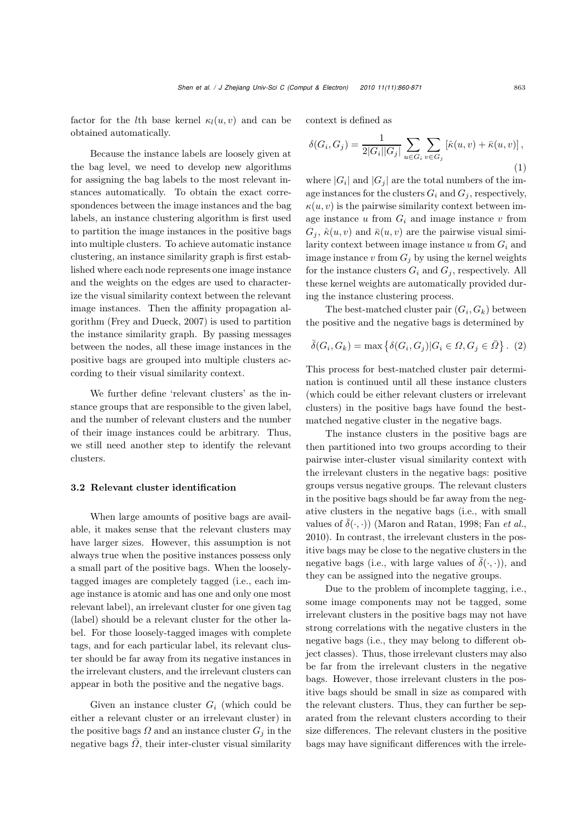factor for the *l*th base kernel  $\kappa_l(u, v)$  and can be obtained automatically.

Because the instance labels are loosely given at the bag level, we need to develop new algorithms for assigning the bag labels to the most relevant instances automatically. To obtain the exact correspondences between the image instances and the bag labels, an instance clustering algorithm is first used to partition the image instances in the positive bags into multiple clusters. To achieve automatic instance clustering, an instance similarity graph is first established where each node represents one image instance and the weights on the edges are used to characterize the visual similarity context between the relevant image instances. Then the affinity propagation algorithm (Frey and Dueck, 2007) is used to partition the instance similarity graph. By passing messages between the nodes, all these image instances in the positive bags are grouped into multiple clusters according to their visual similarity context.

We further define 'relevant clusters' as the instance groups that are responsible to the given label, and the number of relevant clusters and the number of their image instances could be arbitrary. Thus, we still need another step to identify the relevant clusters.

## 3.2 Relevant cluster identification

When large amounts of positive bags are available, it makes sense that the relevant clusters may have larger sizes. However, this assumption is not always true when the positive instances possess only a small part of the positive bags. When the looselytagged images are completely tagged (i.e., each image instance is atomic and has one and only one most relevant label), an irrelevant cluster for one given tag (label) should be a relevant cluster for the other label. For those loosely-tagged images with complete tags, and for each particular label, its relevant cluster should be far away from its negative instances in the irrelevant clusters, and the irrelevant clusters can appear in both the positive and the negative bags.

Given an instance cluster  $G_i$  (which could be either a relevant cluster or an irrelevant cluster) in the positive bags  $\Omega$  and an instance cluster  $G_i$  in the negative bags  $\overline{\Omega}$ , their inter-cluster visual similarity context is defined as

$$
\delta(G_i, G_j) = \frac{1}{2|G_i||G_j|} \sum_{u \in G_i} \sum_{v \in G_j} [\hat{\kappa}(u, v) + \bar{\kappa}(u, v)],
$$
\n(1)

where  $|G_i|$  and  $|G_j|$  are the total numbers of the image instances for the clusters  $G_i$  and  $G_j$ , respectively,  $\kappa(u, v)$  is the pairwise similarity context between image instance  $u$  from  $G_i$  and image instance  $v$  from  $G_i$ ,  $\hat{\kappa}(u, v)$  and  $\bar{\kappa}(u, v)$  are the pairwise visual similarity context between image instance  $u$  from  $G_i$  and image instance v from  $G_i$  by using the kernel weights for the instance clusters  $G_i$  and  $G_j$ , respectively. All these kernel weights are automatically provided during the instance clustering process.

The best-matched cluster pair  $(G_i, G_k)$  between the positive and the negative bags is determined by

$$
\overline{\delta}(G_i, G_k) = \max \left\{ \delta(G_i, G_j) | G_i \in \Omega, G_j \in \overline{\Omega} \right\}. (2)
$$

This process for best-matched cluster pair determination is continued until all these instance clusters (which could be either relevant clusters or irrelevant clusters) in the positive bags have found the bestmatched negative cluster in the negative bags.

The instance clusters in the positive bags are then partitioned into two groups according to their pairwise inter-cluster visual similarity context with the irrelevant clusters in the negative bags: positive groups versus negative groups. The relevant clusters in the positive bags should be far away from the negative clusters in the negative bags (i.e., with small values of  $\bar{\delta}(\cdot, \cdot)$ ) (Maron and Ratan, 1998; Fan *et al.*, 2010). In contrast, the irrelevant clusters in the positive bags may be close to the negative clusters in the negative bags (i.e., with large values of  $\overline{\delta}(\cdot,\cdot)$ ), and they can be assigned into the negative groups.

Due to the problem of incomplete tagging, i.e., some image components may not be tagged, some irrelevant clusters in the positive bags may not have strong correlations with the negative clusters in the negative bags (i.e., they may belong to different object classes). Thus, those irrelevant clusters may also be far from the irrelevant clusters in the negative bags. However, those irrelevant clusters in the positive bags should be small in size as compared with the relevant clusters. Thus, they can further be separated from the relevant clusters according to their size differences. The relevant clusters in the positive bags may have significant differences with the irrele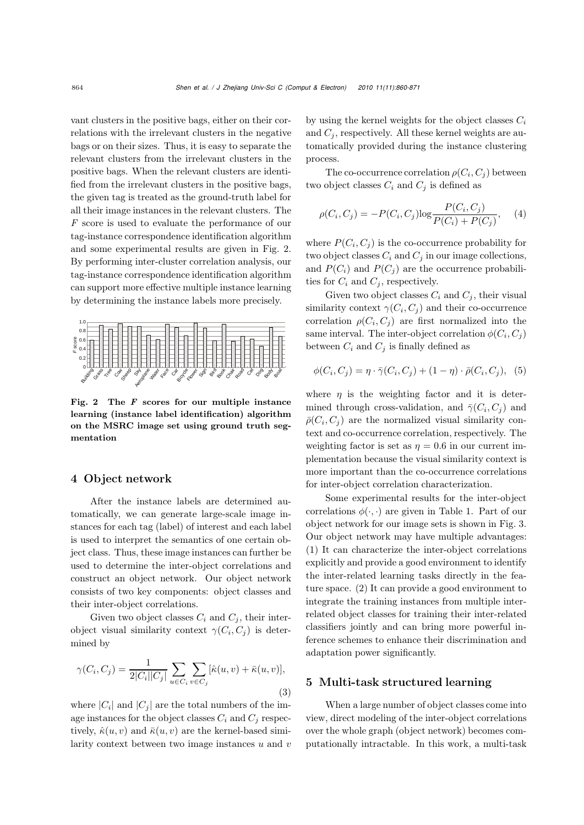vant clusters in the positive bags, either on their correlations with the irrelevant clusters in the negative bags or on their sizes. Thus, it is easy to separate the relevant clusters from the irrelevant clusters in the positive bags. When the relevant clusters are identified from the irrelevant clusters in the positive bags, the given tag is treated as the ground-truth label for all their image instances in the relevant clusters. The *F* score is used to evaluate the performance of our tag-instance correspondence identification algorithm and some experimental results are given in Fig. 2. By performing inter-cluster correlation analysis, our tag-instance correspondence identification algorithm can support more effective multiple instance learning by determining the instance labels more precisely.



Fig. 2 The *F* scores for our multiple instance learning (instance label identification) algorithm on the MSRC image set using ground truth segmentation

## 4 Object network

After the instance labels are determined automatically, we can generate large-scale image instances for each tag (label) of interest and each label is used to interpret the semantics of one certain object class. Thus, these image instances can further be used to determine the inter-object correlations and construct an object network. Our object network consists of two key components: object classes and their inter-object correlations.

Given two object classes  $C_i$  and  $C_j$ , their interobject visual similarity context  $\gamma(C_i, C_j)$  is determined by

$$
\gamma(C_i, C_j) = \frac{1}{2|C_i||C_j|} \sum_{u \in C_i} \sum_{v \in C_j} [\hat{\kappa}(u, v) + \bar{\kappa}(u, v)],
$$
\n(3)

where  $|C_i|$  and  $|C_j|$  are the total numbers of the image instances for the object classes  $C_i$  and  $C_j$  respectively,  $\hat{\kappa}(u, v)$  and  $\bar{\kappa}(u, v)$  are the kernel-based similarity context between two image instances  $u$  and  $v$  by using the kernel weights for the object classes  $C_i$ and  $C_i$ , respectively. All these kernel weights are automatically provided during the instance clustering process.

The co-occurrence correlation  $\rho(C_i, C_j)$  between two object classes  $C_i$  and  $C_j$  is defined as

$$
\rho(C_i, C_j) = -P(C_i, C_j) \log \frac{P(C_i, C_j)}{P(C_i) + P(C_j)},
$$
 (4)

where  $P(C_i, C_j)$  is the co-occurrence probability for two object classes  $C_i$  and  $C_j$  in our image collections, and  $P(C_i)$  and  $P(C_j)$  are the occurrence probabilities for  $C_i$  and  $C_j$ , respectively.

Given two object classes  $C_i$  and  $C_j$ , their visual similarity context  $\gamma(C_i, C_j)$  and their co-occurrence correlation  $\rho(C_i, C_j)$  are first normalized into the same interval. The inter-object correlation  $\phi(C_i, C_j)$ between  $C_i$  and  $C_j$  is finally defined as

$$
\phi(C_i, C_j) = \eta \cdot \overline{\gamma}(C_i, C_j) + (1 - \eta) \cdot \overline{\rho}(C_i, C_j),
$$
 (5)

where  $\eta$  is the weighting factor and it is determined through cross-validation, and  $\bar{\gamma}(C_i, C_j)$  and  $\bar{\rho}(C_i, C_j)$  are the normalized visual similarity context and co-occurrence correlation, respectively. The weighting factor is set as  $\eta = 0.6$  in our current implementation because the visual similarity context is more important than the co-occurrence correlations for inter-object correlation characterization.

Some experimental results for the inter-object correlations  $\phi(\cdot, \cdot)$  are given in Table 1. Part of our object network for our image sets is shown in Fig. 3. Our object network may have multiple advantages: (1) It can characterize the inter-object correlations explicitly and provide a good environment to identify the inter-related learning tasks directly in the feature space. (2) It can provide a good environment to integrate the training instances from multiple interrelated object classes for training their inter-related classifiers jointly and can bring more powerful inference schemes to enhance their discrimination and adaptation power significantly.

# 5 Multi-task structured learning

When a large number of object classes come into view, direct modeling of the inter-object correlations over the whole graph (object network) becomes computationally intractable. In this work, a multi-task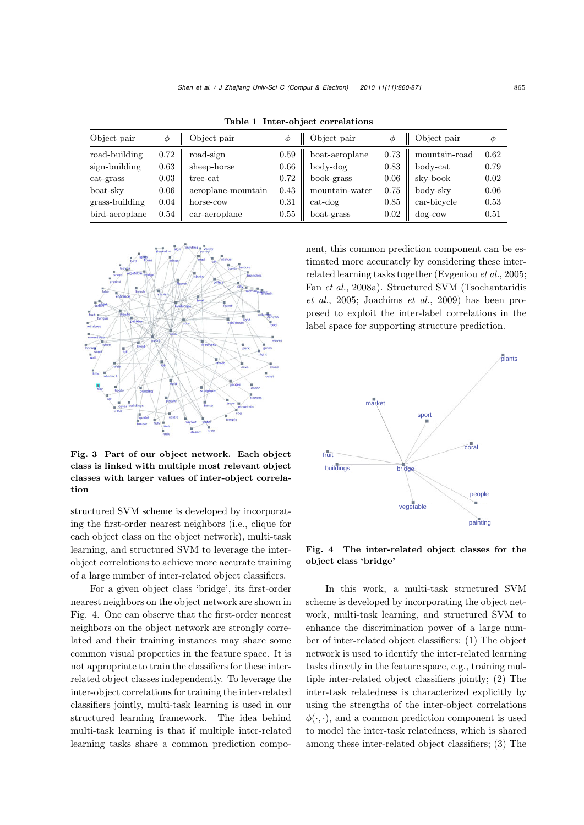| Object pair    | Ф    | Object pair        |      | Object pair    |      | Object pair                | $\phi$ |
|----------------|------|--------------------|------|----------------|------|----------------------------|--------|
| road-building  |      | $0.72$ road-sign   | 0.59 | boat-aeroplane | 0.73 | mountain-road              | 0.62   |
| sign-building  | 0.63 | sheep-horse        | 0.66 | body-dog       | 0.83 | $body\text{-}\mathrm{cat}$ | 0.79   |
| $cat-grass$    | 0.03 | tree-cat           | 0.72 | book-grass     | 0.06 | sky-book                   | 0.02   |
| boat-sky       | 0.06 | aeroplane-mountain | 0.43 | mountain-water | 0.75 | body-sky                   | 0.06   |
| grass-building | 0.04 | horse-cow          | 0.31 | $cat-dog$      | 0.85 | car-bicycle                | 0.53   |
| bird-aeroplane | 0.54 | $car-aeroplane$    | 0.55 | boat-grass     | 0.02 | dog-cow                    | 0.51   |

Table 1 Inter-object correlations



Fig. 3 Part of our object network. Each object class is linked with multiple most relevant object classes with larger values of inter-object correlation

structured SVM scheme is developed by incorporating the first-order nearest neighbors (i.e., clique for each object class on the object network), multi-task learning, and structured SVM to leverage the interobject correlations to achieve more accurate training of a large number of inter-related object classifiers.

For a given object class 'bridge', its first-order nearest neighbors on the object network are shown in Fig. 4. One can observe that the first-order nearest neighbors on the object network are strongly correlated and their training instances may share some common visual properties in the feature space. It is not appropriate to train the classifiers for these interrelated object classes independently. To leverage the inter-object correlations for training the inter-related classifiers jointly, multi-task learning is used in our structured learning framework. The idea behind multi-task learning is that if multiple inter-related learning tasks share a common prediction component, this common prediction component can be estimated more accurately by considering these interrelated learning tasks together (Evgeniou *et al.*, 2005; Fan *et al.*, 2008a). Structured SVM (Tsochantaridis *et al.*, 2005; Joachims *et al.*, 2009) has been proposed to exploit the inter-label correlations in the label space for supporting structure prediction.



Fig. 4 The inter-related object classes for the object class 'bridge'

In this work, a multi-task structured SVM scheme is developed by incorporating the object network, multi-task learning, and structured SVM to enhance the discrimination power of a large number of inter-related object classifiers: (1) The object network is used to identify the inter-related learning tasks directly in the feature space, e.g., training multiple inter-related object classifiers jointly; (2) The inter-task relatedness is characterized explicitly by using the strengths of the inter-object correlations  $\phi(\cdot, \cdot)$ , and a common prediction component is used to model the inter-task relatedness, which is shared among these inter-related object classifiers; (3) The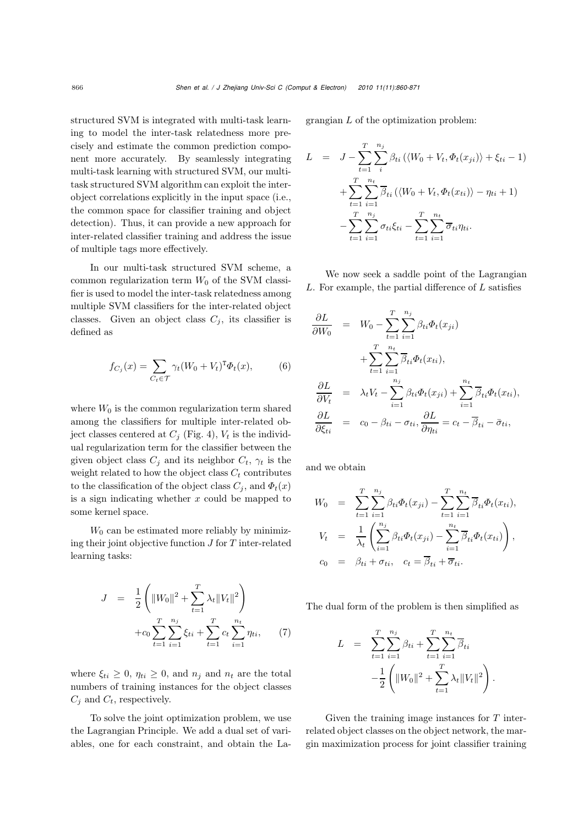structured SVM is integrated with multi-task learning to model the inter-task relatedness more precisely and estimate the common prediction component more accurately. By seamlessly integrating multi-task learning with structured SVM, our multitask structured SVM algorithm can exploit the interobject correlations explicitly in the input space (i.e., the common space for classifier training and object detection). Thus, it can provide a new approach for inter-related classifier training and address the issue of multiple tags more effectively.

In our multi-task structured SVM scheme, a common regularization term  $W_0$  of the SVM classifier is used to model the inter-task relatedness among multiple SVM classifiers for the inter-related object classes. Given an object class  $C_j$ , its classifier is defined as

$$
f_{C_j}(x) = \sum_{C_t \in \mathcal{T}} \gamma_t (W_0 + V_t)^T \Phi_t(x), \tag{6}
$$

where  $W_0$  is the common regularization term shared among the classifiers for multiple inter-related object classes centered at  $C_j$  (Fig. 4),  $V_t$  is the individual regularization term for the classifier between the given object class  $C_j$  and its neighbor  $C_t$ ,  $\gamma_t$  is the weight related to how the object class  $C_t$  contributes to the classification of the object class  $C_i$ , and  $\Phi_t(x)$ is a sign indicating whether  $x$  could be mapped to some kernel space.

 $W_0$  can be estimated more reliably by minimizing their joint objective function  $J$  for  $T$  inter-related learning tasks:

$$
J = \frac{1}{2} \left( \|W_0\|^2 + \sum_{t=1}^T \lambda_t \|V_t\|^2 \right) + c_0 \sum_{t=1}^T \sum_{i=1}^{n_j} \xi_{ti} + \sum_{t=1}^T c_t \sum_{i=1}^{n_t} \eta_{ti}, \qquad (7)
$$

where  $\xi_{ti} \geq 0$ ,  $\eta_{ti} \geq 0$ , and  $n_j$  and  $n_t$  are the total numbers of training instances for the object classes  $C_j$  and  $C_t$ , respectively.

To solve the joint optimization problem, we use the Lagrangian Principle. We add a dual set of variables, one for each constraint, and obtain the Lagrangian L of the optimization problem:

$$
L = J - \sum_{t=1}^{T} \sum_{i}^{n_j} \beta_{ti} (\langle W_0 + V_t, \Phi_t(x_{ji}) \rangle + \xi_{ti} - 1)
$$
  
+ 
$$
\sum_{t=1}^{T} \sum_{i=1}^{n_t} \overline{\beta}_{ti} (\langle W_0 + V_t, \Phi_t(x_{ti}) \rangle - \eta_{ti} + 1)
$$
  
- 
$$
\sum_{t=1}^{T} \sum_{i=1}^{n_j} \sigma_{ti} \xi_{ti} - \sum_{t=1}^{T} \sum_{i=1}^{n_t} \overline{\sigma}_{ti} \eta_{ti}.
$$

We now seek a saddle point of the Lagrangian  $L$ . For example, the partial difference of  $L$  satisfies

$$
\frac{\partial L}{\partial W_0} = W_0 - \sum_{t=1}^T \sum_{i=1}^{n_j} \beta_{ti} \Phi_t(x_{ji})
$$

$$
+ \sum_{t=1}^T \sum_{i=1}^{n_t} \overline{\beta}_{ti} \Phi_t(x_{ti}),
$$

$$
\frac{\partial L}{\partial V_t} = \lambda_t V_t - \sum_{i=1}^{n_j} \beta_{ti} \Phi_t(x_{ji}) + \sum_{i=1}^{n_t} \overline{\beta}_{ti} \Phi_t(x_{ti}),
$$

$$
\frac{\partial L}{\partial \xi_{ti}} = c_0 - \beta_{ti} - \sigma_{ti}, \frac{\partial L}{\partial \eta_{ti}} = c_t - \overline{\beta}_{ti} - \overline{\sigma}_{ti},
$$

and we obtain

$$
W_0 = \sum_{t=1}^T \sum_{i=1}^{n_j} \beta_{ti} \Phi_t(x_{ji}) - \sum_{t=1}^T \sum_{i=1}^{n_t} \overline{\beta}_{ti} \Phi_t(x_{ti}),
$$
  
\n
$$
V_t = \frac{1}{\lambda_t} \left( \sum_{i=1}^{n_j} \beta_{ti} \Phi_t(x_{ji}) - \sum_{i=1}^{n_t} \overline{\beta}_{ti} \Phi_t(x_{ti}) \right),
$$
  
\n
$$
c_0 = \beta_{ti} + \sigma_{ti}, \quad c_t = \overline{\beta}_{ti} + \overline{\sigma}_{ti}.
$$

The dual form of the problem is then simplified as

$$
L = \sum_{t=1}^{T} \sum_{i=1}^{n_j} \beta_{ti} + \sum_{t=1}^{T} \sum_{i=1}^{n_t} \overline{\beta}_{ti}
$$

$$
-\frac{1}{2} \left( ||W_0||^2 + \sum_{t=1}^{T} \lambda_t ||V_t||^2 \right).
$$

Given the training image instances for T interrelated object classes on the object network, the margin maximization process for joint classifier training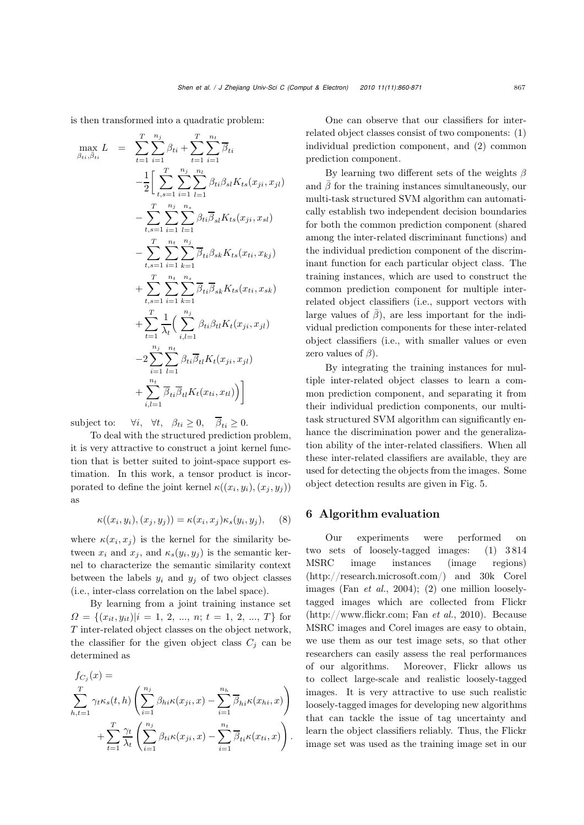is then transformed into a quadratic problem:

$$
\begin{array}{rcl}\n\max_{\beta_{ti}, \bar{\beta}_{ti}} L & = & \sum_{t=1}^{T} \sum_{i=1}^{n_j} \beta_{ti} + \sum_{t=1}^{T} \sum_{i=1}^{n_t} \overline{\beta}_{ti} \\
& & - \frac{1}{2} \bigg[ \sum_{t,s=1}^{T} \sum_{i=1}^{n_j} \sum_{l=1}^{n_l} \beta_{ti} \beta_{sl} K_{ts}(x_{ji}, x_{jl}) \\
& & - \sum_{t,s=1}^{T} \sum_{i=1}^{n_j} \sum_{l=1}^{n_s} \beta_{ti} \overline{\beta}_{sl} K_{ts}(x_{ji}, x_{sl}) \\
& & - \sum_{t,s=1}^{T} \sum_{i=1}^{n_t} \sum_{k=1}^{n_j} \overline{\beta}_{ti} \beta_{sk} K_{ts}(x_{ti}, x_{kj}) \\
& & + \sum_{t,s=1}^{T} \sum_{i=1}^{n_t} \sum_{k=1}^{n_s} \overline{\beta}_{ti} \overline{\beta}_{sk} K_{ts}(x_{ti}, x_{sk}) \\
& & + \sum_{t=1}^{T} \frac{1}{\lambda_t} \bigg( \sum_{i,l=1}^{n_j} \beta_{ti} \beta_{tl} K_{t}(x_{ji}, x_{jl}) \\
& & - 2 \sum_{i=1}^{n_j} \sum_{l=1}^{n_t} \beta_{ti} \overline{\beta}_{tl} K_{t}(x_{ji}, x_{jl}) \\
& & + \sum_{i,l=1}^{n_t} \overline{\beta}_{ti} \overline{\beta}_{tl} K_{t}(x_{ti}, x_{tl}) \bigg) \bigg]\n\end{array}
$$

subject to:  $\forall i, \forall t, \beta_{ti} \geq 0, \overline{\beta}_{ti} \geq 0.$ 

To deal with the structured prediction problem, it is very attractive to construct a joint kernel function that is better suited to joint-space support estimation. In this work, a tensor product is incorporated to define the joint kernel  $\kappa((x_i, y_i), (x_j, y_j))$ as

$$
\kappa((x_i, y_i), (x_j, y_j)) = \kappa(x_i, x_j)\kappa_s(y_i, y_j), \quad (8)
$$

where  $\kappa(x_i, x_j)$  is the kernel for the similarity between  $x_i$  and  $x_j$ , and  $\kappa_s(y_i, y_j)$  is the semantic kernel to characterize the semantic similarity context between the labels  $y_i$  and  $y_j$  of two object classes (i.e., inter-class correlation on the label space).

By learning from a joint training instance set  $\Omega = \{(x_{it}, y_{it}) | i = 1, 2, ..., n; t = 1, 2, ..., T\}$  for T inter-related object classes on the object network, the classifier for the given object class  $C_i$  can be determined as

$$
f_{C_j}(x) = \sum_{h,t=1}^T \gamma_t \kappa_s(t,h) \left( \sum_{i=1}^{n_j} \beta_{hi} \kappa(x_{ji}, x) - \sum_{i=1}^{n_h} \overline{\beta}_{hi} \kappa(x_{hi}, x) \right) + \sum_{t=1}^T \frac{\gamma_t}{\lambda_t} \left( \sum_{i=1}^{n_j} \beta_{ti} \kappa(x_{ji}, x) - \sum_{i=1}^{n_t} \overline{\beta}_{ti} \kappa(x_{ti}, x) \right)
$$

.

One can observe that our classifiers for interrelated object classes consist of two components: (1) individual prediction component, and (2) common prediction component.

By learning two different sets of the weights  $\beta$ and  $\bar{\beta}$  for the training instances simultaneously, our multi-task structured SVM algorithm can automatically establish two independent decision boundaries for both the common prediction component (shared among the inter-related discriminant functions) and the individual prediction component of the discriminant function for each particular object class. The training instances, which are used to construct the common prediction component for multiple interrelated object classifiers (i.e., support vectors with large values of  $\bar{\beta}$ , are less important for the individual prediction components for these inter-related object classifiers (i.e., with smaller values or even zero values of  $\beta$ ).

By integrating the training instances for multiple inter-related object classes to learn a common prediction component, and separating it from their individual prediction components, our multitask structured SVM algorithm can significantly enhance the discrimination power and the generalization ability of the inter-related classifiers. When all these inter-related classifiers are available, they are used for detecting the objects from the images. Some object detection results are given in Fig. 5.

## 6 Algorithm evaluation

Our experiments were performed on two sets of loosely-tagged images: (1) 3814<br>MSRC image instances (image regions) instances (http://research.microsoft.com/) and 30k Corel images (Fan *et al.*, 2004); (2) one million looselytagged images which are collected from Flickr (http://www.flickr.com; Fan *et al.*, 2010). Because MSRC images and Corel images are easy to obtain, we use them as our test image sets, so that other researchers can easily assess the real performances of our algorithms. Moreover, Flickr allows us to collect large-scale and realistic loosely-tagged images. It is very attractive to use such realistic loosely-tagged images for developing new algorithms that can tackle the issue of tag uncertainty and learn the object classifiers reliably. Thus, the Flickr image set was used as the training image set in our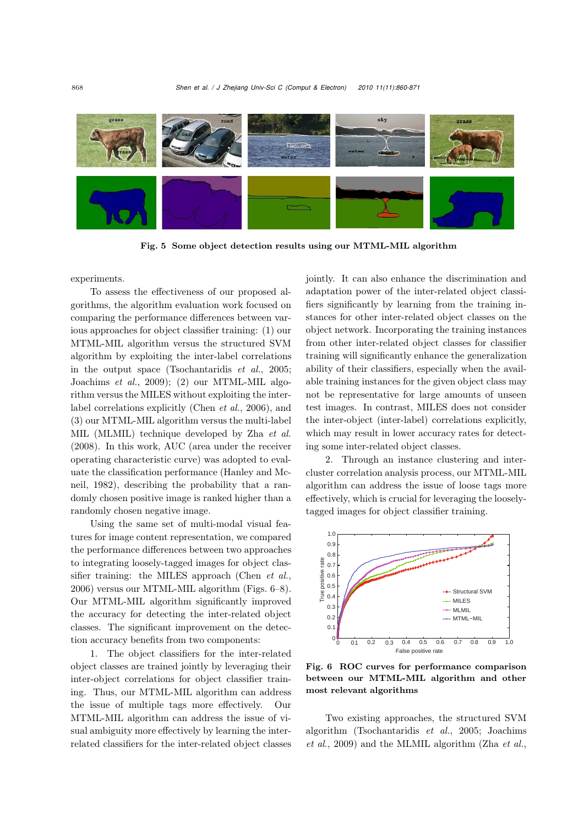

Fig. 5 Some object detection results using our MTML-MIL algorithm

experiments.

To assess the effectiveness of our proposed algorithms, the algorithm evaluation work focused on comparing the performance differences between various approaches for object classifier training: (1) our MTML-MIL algorithm versus the structured SVM algorithm by exploiting the inter-label correlations in the output space (Tsochantaridis *et al.*, 2005; Joachims *et al.*, 2009); (2) our MTML-MIL algorithm versus the MILES without exploiting the interlabel correlations explicitly (Chen *et al.*, 2006), and (3) our MTML-MIL algorithm versus the multi-label MIL (MLMIL) technique developed by Zha *et al.* (2008). In this work, AUC (area under the receiver operating characteristic curve) was adopted to evaluate the classification performance (Hanley and Mcneil, 1982), describing the probability that a randomly chosen positive image is ranked higher than a randomly chosen negative image.

Using the same set of multi-modal visual features for image content representation, we compared the performance differences between two approaches to integrating loosely-tagged images for object classifier training: the MILES approach (Chen *et al.*, 2006) versus our MTML-MIL algorithm (Figs. 6–8). Our MTML-MIL algorithm significantly improved the accuracy for detecting the inter-related object classes. The significant improvement on the detection accuracy benefits from two components:

1. The object classifiers for the inter-related object classes are trained jointly by leveraging their inter-object correlations for object classifier training. Thus, our MTML-MIL algorithm can address the issue of multiple tags more effectively. Our MTML-MIL algorithm can address the issue of visual ambiguity more effectively by learning the interrelated classifiers for the inter-related object classes jointly. It can also enhance the discrimination and adaptation power of the inter-related object classifiers significantly by learning from the training instances for other inter-related object classes on the object network. Incorporating the training instances from other inter-related object classes for classifier training will significantly enhance the generalization ability of their classifiers, especially when the available training instances for the given object class may not be representative for large amounts of unseen test images. In contrast, MILES does not consider the inter-object (inter-label) correlations explicitly, which may result in lower accuracy rates for detecting some inter-related object classes.

2. Through an instance clustering and intercluster correlation analysis process, our MTML-MIL algorithm can address the issue of loose tags more effectively, which is crucial for leveraging the looselytagged images for object classifier training.



Fig. 6 ROC curves for performance comparison between our MTML-MIL algorithm and other most relevant algorithms

Two existing approaches, the structured SVM algorithm (Tsochantaridis *et al.*, 2005; Joachims *et al.*, 2009) and the MLMIL algorithm (Zha *et al.*,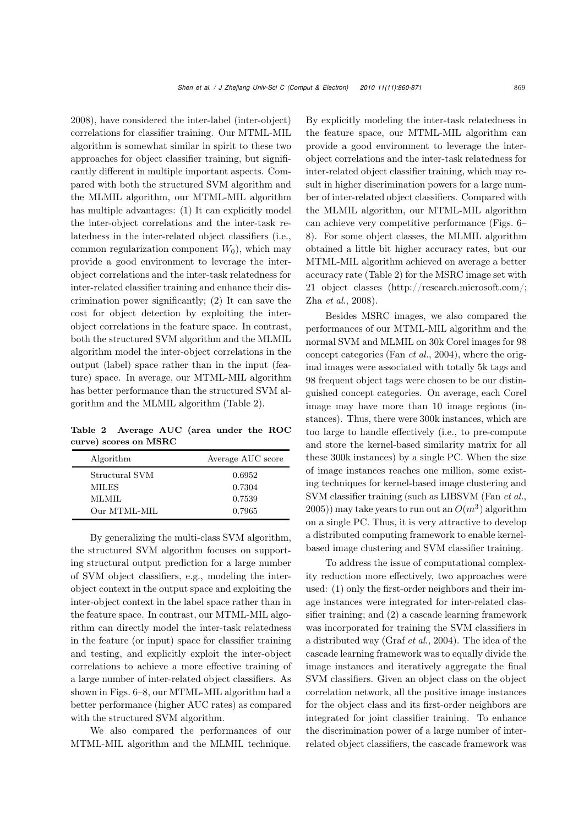2008), have considered the inter-label (inter-object) correlations for classifier training. Our MTML-MIL algorithm is somewhat similar in spirit to these two approaches for object classifier training, but significantly different in multiple important aspects. Compared with both the structured SVM algorithm and the MLMIL algorithm, our MTML-MIL algorithm has multiple advantages: (1) It can explicitly model the inter-object correlations and the inter-task relatedness in the inter-related object classifiers (i.e., common regularization component  $W_0$ , which may provide a good environment to leverage the interobject correlations and the inter-task relatedness for inter-related classifier training and enhance their discrimination power significantly; (2) It can save the cost for object detection by exploiting the interobject correlations in the feature space. In contrast, both the structured SVM algorithm and the MLMIL algorithm model the inter-object correlations in the output (label) space rather than in the input (feature) space. In average, our MTML-MIL algorithm has better performance than the structured SVM algorithm and the MLMIL algorithm (Table 2).

Table 2 Average AUC (area under the ROC curve) scores on MSRC

| Algorithm      | Average AUC score |  |  |
|----------------|-------------------|--|--|
| Structural SVM | 0.6952            |  |  |
| <b>MILES</b>   | 0.7304            |  |  |
| MLMIL.         | 0.7539            |  |  |
| Our MTML-MIL   | 0.7965            |  |  |

By generalizing the multi-class SVM algorithm, the structured SVM algorithm focuses on supporting structural output prediction for a large number of SVM object classifiers, e.g., modeling the interobject context in the output space and exploiting the inter-object context in the label space rather than in the feature space. In contrast, our MTML-MIL algorithm can directly model the inter-task relatedness in the feature (or input) space for classifier training and testing, and explicitly exploit the inter-object correlations to achieve a more effective training of a large number of inter-related object classifiers. As shown in Figs. 6–8, our MTML-MIL algorithm had a better performance (higher AUC rates) as compared with the structured SVM algorithm.

We also compared the performances of our MTML-MIL algorithm and the MLMIL technique.

By explicitly modeling the inter-task relatedness in the feature space, our MTML-MIL algorithm can provide a good environment to leverage the interobject correlations and the inter-task relatedness for inter-related object classifier training, which may result in higher discrimination powers for a large number of inter-related object classifiers. Compared with the MLMIL algorithm, our MTML-MIL algorithm can achieve very competitive performance (Figs. 6– 8). For some object classes, the MLMIL algorithm obtained a little bit higher accuracy rates, but our MTML-MIL algorithm achieved on average a better accuracy rate (Table 2) for the MSRC image set with 21 object classes (http://research.microsoft.com/; Zha *et al*., 2008).

Besides MSRC images, we also compared the performances of our MTML-MIL algorithm and the normal SVM and MLMIL on 30k Corel images for 98 concept categories (Fan *et al.*, 2004), where the original images were associated with totally 5k tags and 98 frequent object tags were chosen to be our distinguished concept categories. On average, each Corel image may have more than 10 image regions (instances). Thus, there were 300k instances, which are too large to handle effectively (i.e., to pre-compute and store the kernel-based similarity matrix for all these 300k instances) by a single PC. When the size of image instances reaches one million, some existing techniques for kernel-based image clustering and SVM classifier training (such as LIBSVM (Fan *et al.*,  $2005$ ) may take years to run out an  $O(m^3)$  algorithm on a single PC. Thus, it is very attractive to develop a distributed computing framework to enable kernelbased image clustering and SVM classifier training.

To address the issue of computational complexity reduction more effectively, two approaches were used: (1) only the first-order neighbors and their image instances were integrated for inter-related classifier training; and (2) a cascade learning framework was incorporated for training the SVM classifiers in a distributed way (Graf *et al.*, 2004). The idea of the cascade learning framework was to equally divide the image instances and iteratively aggregate the final SVM classifiers. Given an object class on the object correlation network, all the positive image instances for the object class and its first-order neighbors are integrated for joint classifier training. To enhance the discrimination power of a large number of interrelated object classifiers, the cascade framework was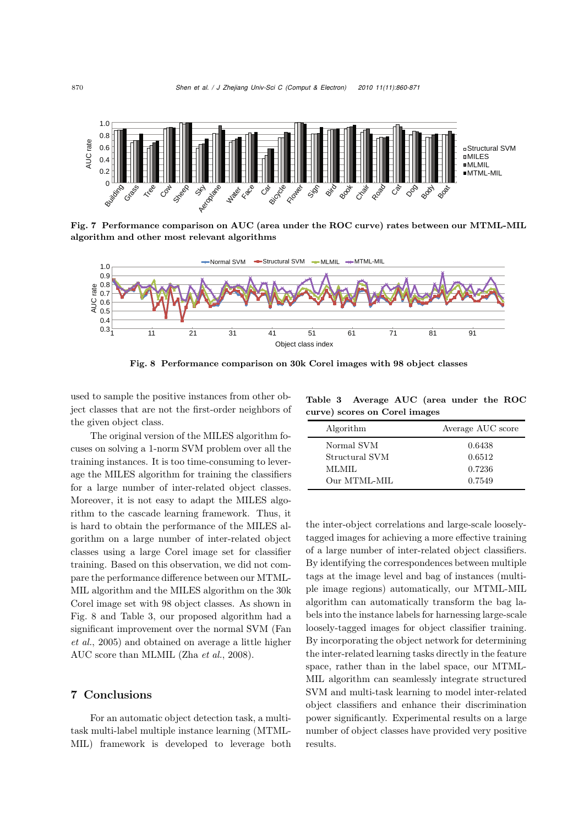

Fig. 7 Performance comparison on AUC (area under the ROC curve) rates between our MTML-MIL algorithm and other most relevant algorithms



Fig. 8 Performance comparison on 30k Corel images with 98 object classes

used to sample the positive instances from other object classes that are not the first-order neighbors of the given object class.

The original version of the MILES algorithm focuses on solving a 1-norm SVM problem over all the training instances. It is too time-consuming to leverage the MILES algorithm for training the classifiers for a large number of inter-related object classes. Moreover, it is not easy to adapt the MILES algorithm to the cascade learning framework. Thus, it is hard to obtain the performance of the MILES algorithm on a large number of inter-related object classes using a large Corel image set for classifier training. Based on this observation, we did not compare the performance difference between our MTML-MIL algorithm and the MILES algorithm on the 30k Corel image set with 98 object classes. As shown in Fig. 8 and Table 3, our proposed algorithm had a significant improvement over the normal SVM (Fan *et al.*, 2005) and obtained on average a little higher AUC score than MLMIL (Zha *et al.*, 2008).

# 7 Conclusions

For an automatic object detection task, a multitask multi-label multiple instance learning (MTML-MIL) framework is developed to leverage both

Table 3 Average AUC (area under the ROC curve) scores on Corel images

| Algorithm      | Average AUC score |
|----------------|-------------------|
| Normal SVM     | 0.6438            |
| Structural SVM | 0.6512            |
| MLMIL          | 0.7236            |
| Our MTML-MIL   | 0.7549            |

the inter-object correlations and large-scale looselytagged images for achieving a more effective training of a large number of inter-related object classifiers. By identifying the correspondences between multiple tags at the image level and bag of instances (multiple image regions) automatically, our MTML-MIL algorithm can automatically transform the bag labels into the instance labels for harnessing large-scale loosely-tagged images for object classifier training. By incorporating the object network for determining the inter-related learning tasks directly in the feature space, rather than in the label space, our MTML-MIL algorithm can seamlessly integrate structured SVM and multi-task learning to model inter-related object classifiers and enhance their discrimination power significantly. Experimental results on a large number of object classes have provided very positive results.